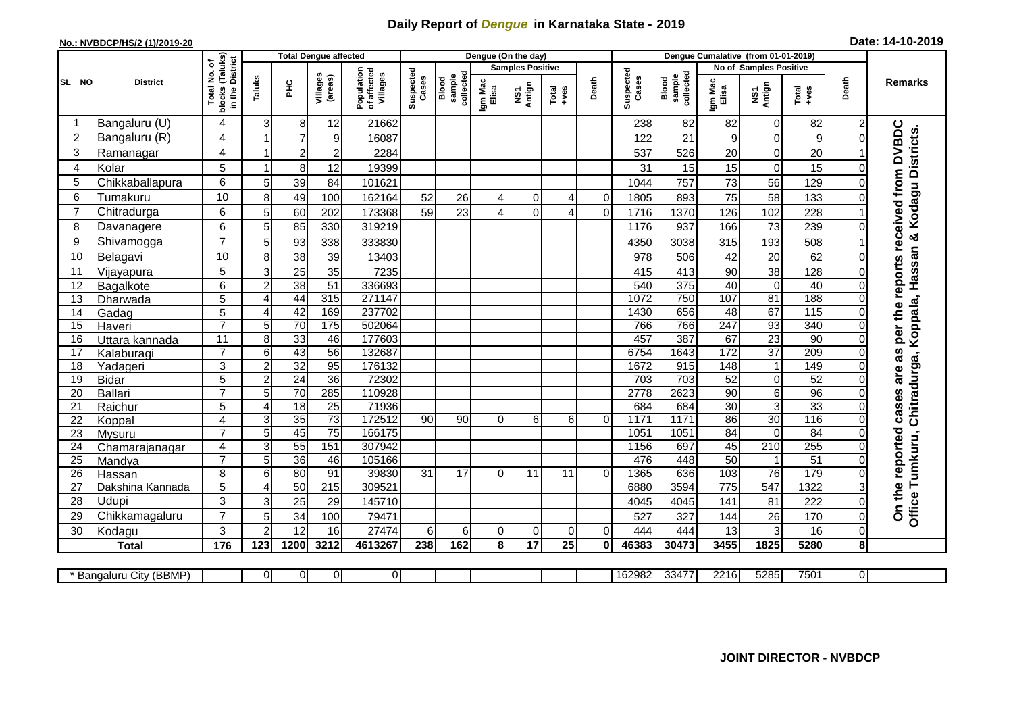## **Daily Report of** *Dengue* **in Karnataka State - 2019**

## **No.: NVBDCP/HS/2 (1)/2019-20**

| Date: 14-10-2019 |  |  |  |
|------------------|--|--|--|
|------------------|--|--|--|

|                                                                                                                                                                                                                                                                                                                                                                                          | Dengue Cumalative (from 01-01-2019)    |                                                                                                 |  |  |  |  |  |
|------------------------------------------------------------------------------------------------------------------------------------------------------------------------------------------------------------------------------------------------------------------------------------------------------------------------------------------------------------------------------------------|----------------------------------------|-------------------------------------------------------------------------------------------------|--|--|--|--|--|
| ৳<br><b>Samples Positive</b>                                                                                                                                                                                                                                                                                                                                                             | No of Samples Positive                 |                                                                                                 |  |  |  |  |  |
| blocks (Taluks)<br>in the District<br>Suspected<br>Population<br>of affected<br>Villages<br>Suspected<br>ş<br>collected<br>collected<br>Villages<br>(areas)<br>sample<br>sample<br>Taluks<br>Cases<br>Death<br>Blood<br>Blood<br>SL NO<br>Igm Mac<br>Elisa<br><b>District</b><br>Igm Mac<br>Elisa<br>$rac{C}{\pi}$<br><b>Case:</b><br>Antign<br>Total<br>blocks (<br>Total<br>+ves<br>ŠΣ | NS1<br>Antign<br>Total<br>+ves         | Death<br><b>Remarks</b>                                                                         |  |  |  |  |  |
| 3<br>Bangaluru (U)<br>4<br>8<br>12<br>21662<br>238<br>82                                                                                                                                                                                                                                                                                                                                 | 82<br>82<br>0                          | 2                                                                                               |  |  |  |  |  |
| $\overline{2}$<br>Bangaluru (R)<br>$\overline{7}$<br>122<br>4<br>9<br>16087<br>21                                                                                                                                                                                                                                                                                                        | 9<br>0<br>9                            | 0                                                                                               |  |  |  |  |  |
| 3<br>Ramanagar<br>4<br>$\overline{c}$<br>$\boldsymbol{2}$<br>2284<br>537<br>526                                                                                                                                                                                                                                                                                                          | $\boldsymbol{0}$<br>20<br>20           | received from DVBDC                                                                             |  |  |  |  |  |
| Kolar<br>5<br>8<br>12<br>31<br>$\overline{4}$<br>19399<br>$\overline{ }$<br>15                                                                                                                                                                                                                                                                                                           | 15<br>$\mathbf 0$<br>15                | 0                                                                                               |  |  |  |  |  |
| 6<br>5<br>Chikkaballapura<br>5<br>39<br>757<br>84<br>101621<br>1044                                                                                                                                                                                                                                                                                                                      | 73<br>56<br>129                        | $\Omega$                                                                                        |  |  |  |  |  |
| 10<br>8<br>49<br>Tumakuru<br>6<br>100<br>162164<br>52<br>26<br>1805<br>893<br>0<br>4<br>0<br>4                                                                                                                                                                                                                                                                                           | 75<br>58<br>133                        |                                                                                                 |  |  |  |  |  |
| 6<br>5<br>7<br>Chitradurga<br>23<br>$\overline{0}$<br>60<br>202<br>173368<br>59<br>$\Omega$<br>1716<br>1370<br>$\Delta$<br>Δ                                                                                                                                                                                                                                                             | 102<br>228<br>126                      |                                                                                                 |  |  |  |  |  |
| 6<br>5<br>85<br>330<br>319219<br>937<br>8<br>1176<br>Davanagere                                                                                                                                                                                                                                                                                                                          | 73<br>166<br>239                       |                                                                                                 |  |  |  |  |  |
| $\overline{7}$<br>93<br>9<br>Shivamogga<br>5<br>3038<br>338<br>333830<br>4350                                                                                                                                                                                                                                                                                                            | 315<br>193<br>508                      |                                                                                                 |  |  |  |  |  |
| 38<br>10<br>8<br>Belagavi<br>39<br>978<br>506<br>10<br>13403                                                                                                                                                                                                                                                                                                                             | 20<br>42<br>62                         |                                                                                                 |  |  |  |  |  |
| 25<br>5<br>3<br>35<br>7235<br>11<br>413<br>415<br>Vijayapura                                                                                                                                                                                                                                                                                                                             | 38<br>90<br>128                        | as per the reports<br>0                                                                         |  |  |  |  |  |
| 38<br>51<br>375<br>6<br>$\overline{c}$<br>336693<br>540<br>12<br>Bagalkote                                                                                                                                                                                                                                                                                                               | 40<br>40<br>$\mathbf 0$                | $\Omega$                                                                                        |  |  |  |  |  |
| 44<br>750<br>5<br>315<br>271147<br>1072<br>13<br>Dharwada<br>$\overline{4}$                                                                                                                                                                                                                                                                                                              | 107<br>81<br>188                       | $\Omega$                                                                                        |  |  |  |  |  |
| 42<br>5<br>237702<br>656<br>169<br>1430<br>14<br>Gadag<br>$\overline{4}$                                                                                                                                                                                                                                                                                                                 | 67<br>$\frac{115}{115}$<br>48          | 0                                                                                               |  |  |  |  |  |
| $\overline{7}$<br>5<br>70<br>502064<br>766<br>175<br>766<br>15<br>Haveri                                                                                                                                                                                                                                                                                                                 | 93<br>247<br>340                       | 0                                                                                               |  |  |  |  |  |
| 387<br>$\overline{8}$<br>33<br>177603<br>457<br>11<br>46<br>16<br>Uttara kannada                                                                                                                                                                                                                                                                                                         | $\overline{23}$<br>67<br>90            | $\Omega$                                                                                        |  |  |  |  |  |
| $\overline{7}$<br>6<br>43<br>56<br>6754<br>1643<br>132687<br>17<br>Kalaburagi                                                                                                                                                                                                                                                                                                            | $\overline{37}$<br>172<br>209          | 0                                                                                               |  |  |  |  |  |
| 3<br>$\overline{c}$<br>32<br>95<br>1672<br>18<br>176132<br>915<br>Yadageri                                                                                                                                                                                                                                                                                                               | 148<br>$\mathbf{1}$<br>149             | $\Omega$                                                                                        |  |  |  |  |  |
| 24<br>$\overline{5}$<br>$\overline{2}$<br>36<br>72302<br>19<br>703<br>703<br><b>Bidar</b>                                                                                                                                                                                                                                                                                                | 52<br>$\overline{\mathsf{o}}$<br>52    | 0                                                                                               |  |  |  |  |  |
| 5<br>70<br>285<br>110928<br>7<br>2778<br>2623<br>20<br>Ballari                                                                                                                                                                                                                                                                                                                           | $\,6$<br>$\overline{96}$<br>90         | 0                                                                                               |  |  |  |  |  |
| $\overline{18}$<br>$\overline{5}$<br>25<br>684<br>21<br>$\overline{\mathbf{4}}$<br>71936<br>684<br>Raichur                                                                                                                                                                                                                                                                               | 30<br>$\overline{3}$<br>33             | cases are<br>$\Omega$                                                                           |  |  |  |  |  |
| $\overline{35}$<br>3<br>$\overline{73}$<br>1171<br>22<br>$\overline{4}$<br>172512<br>90<br>1171<br>Koppal<br>90<br>6<br>0<br>6<br>$\overline{0}$                                                                                                                                                                                                                                         | 30<br>86<br>$\frac{116}{116}$          | $\Omega$                                                                                        |  |  |  |  |  |
| 45<br>$\overline{7}$<br>$\overline{5}$<br>$\overline{75}$<br>166175<br>1051<br>1051<br>23<br>Mysuru                                                                                                                                                                                                                                                                                      | 84<br>84<br>$\mathbf 0$                | $\Omega$                                                                                        |  |  |  |  |  |
| 55<br>151<br>3<br>307942<br>1156<br>697<br>24<br>Chamarajanagar<br>4<br>$\overline{7}$<br>476                                                                                                                                                                                                                                                                                            | 255<br>45<br>$\overline{210}$<br>51    | 0                                                                                               |  |  |  |  |  |
| $\overline{5}$<br>36<br>105166<br>448<br>25<br>46<br>Mandya<br>8<br>6<br>80<br>91<br>39830<br>17<br>1365<br>636<br>26<br>31<br>11<br>11<br>$\overline{0}$<br>$\Omega$                                                                                                                                                                                                                    | 50<br>$\overline{76}$<br>179           | 0<br>0                                                                                          |  |  |  |  |  |
| Hassan<br>5<br>4<br>50<br>215<br>3594<br>27<br>309521<br>6880<br>Dakshina Kannada                                                                                                                                                                                                                                                                                                        | 103<br>$\overline{775}$<br>547<br>1322 |                                                                                                 |  |  |  |  |  |
| 3<br>28<br>3<br>25<br>Udupi<br>29<br>145710<br>4045<br>4045                                                                                                                                                                                                                                                                                                                              | 141<br>81<br>222                       | $\mathsf 0$                                                                                     |  |  |  |  |  |
| $\overline{7}$<br>5<br>29<br>Chikkamagaluru<br>34<br>100<br>79471<br>527<br>327                                                                                                                                                                                                                                                                                                          | 144<br>26<br>170                       | Office Tumkuru, Chitradurga, Koppala, Hassan & Kodagu Districts.<br>On the reported<br>$\Omega$ |  |  |  |  |  |
| 3<br>$\overline{2}$<br>12<br>6<br>30<br>16<br>27474<br>6<br>0<br>$\mathbf 0$<br>$\mathbf 0$<br>$\Omega$<br>444<br>444<br>Kodagu                                                                                                                                                                                                                                                          | $\mathbf{3}$<br>16<br>13               | $\mathsf 0$                                                                                     |  |  |  |  |  |
| 17<br>$\overline{123}$<br>1200<br>3212<br>4613267<br>162<br>8 <sup>1</sup><br>25<br>46383<br>30473<br>176<br>238<br>$\mathbf{0}$<br><b>Total</b>                                                                                                                                                                                                                                         | 3455<br>1825<br>5280                   | 8                                                                                               |  |  |  |  |  |
|                                                                                                                                                                                                                                                                                                                                                                                          |                                        |                                                                                                 |  |  |  |  |  |
| $\mathbf 0$<br>$\overline{0}$<br>$\overline{0}$<br>162982<br>33477<br>Bangaluru City (BBMP)<br>0                                                                                                                                                                                                                                                                                         | 2216<br>5285<br>7501                   | 0                                                                                               |  |  |  |  |  |